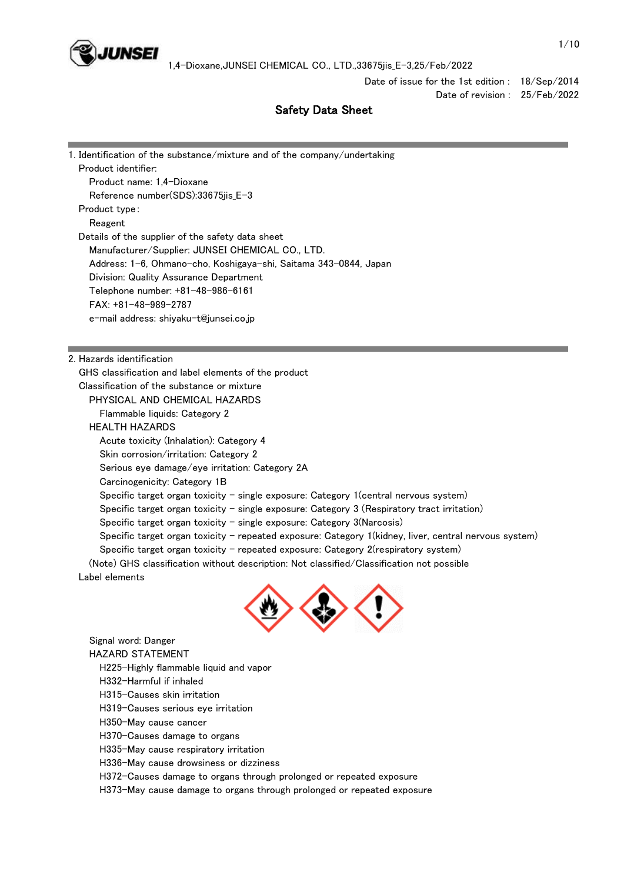

Date of issue for the 1st edition : 18/Sep/2014

Date of revision : 25/Feb/2022

# Safety Data Sheet

| 1. Identification of the substance/mixture and of the company/undertaking                             |
|-------------------------------------------------------------------------------------------------------|
| Product identifier:                                                                                   |
| Product name: 1,4-Dioxane                                                                             |
| Reference number(SDS):33675jis_E-3                                                                    |
| Product type:                                                                                         |
| Reagent                                                                                               |
| Details of the supplier of the safety data sheet                                                      |
| Manufacturer/Supplier: JUNSEI CHEMICAL CO., LTD.                                                      |
| Address: 1-6, Ohmano-cho, Koshigaya-shi, Saitama 343-0844, Japan                                      |
| Division: Quality Assurance Department                                                                |
| Telephone number: +81-48-986-6161                                                                     |
| $FAX: +81-48-989-2787$                                                                                |
| e-mail address: shiyaku-t@junsei.co.jp                                                                |
|                                                                                                       |
| 2. Hazards identification                                                                             |
| GHS classification and label elements of the product                                                  |
| Classification of the substance or mixture                                                            |
| PHYSICAL AND CHEMICAL HAZARDS                                                                         |
| Flammable liquids: Category 2                                                                         |
| <b>HEALTH HAZARDS</b>                                                                                 |
| Acute toxicity (Inhalation): Category 4                                                               |
| Skin corrosion/irritation: Category 2                                                                 |
| Serious eye damage/eye irritation: Category 2A                                                        |
| Carcinogenicity: Category 1B                                                                          |
| Specific target organ toxicity $-$ single exposure: Category 1 (central nervous system)               |
| Specific target organ toxicity - single exposure: Category $3$ (Respiratory tract irritation)         |
| Specific target organ toxicity $-$ single exposure: Category 3(Narcosis)                              |
| Specific target organ toxicity - repeated exposure: Category 1(kidney, liver, central nervous system) |
| Specific target organ toxicity - repeated exposure: Category 2(respiratory system)                    |
| (Note) GHS classification without description: Not classified/Classification not possible             |
| Label elements                                                                                        |
|                                                                                                       |
| Signal word: Danger                                                                                   |
| <b>HAZARD STATEMENT</b>                                                                               |
| H225-Highly flammable liquid and vapor                                                                |
| H332-Harmful if inhaled                                                                               |
| H315-Causes skin irritation                                                                           |
|                                                                                                       |

H319-Causes serious eye irritation

H350-May cause cancer

H370-Causes damage to organs

H335-May cause respiratory irritation

H336-May cause drowsiness or dizziness

H372-Causes damage to organs through prolonged or repeated exposure

H373-May cause damage to organs through prolonged or repeated exposure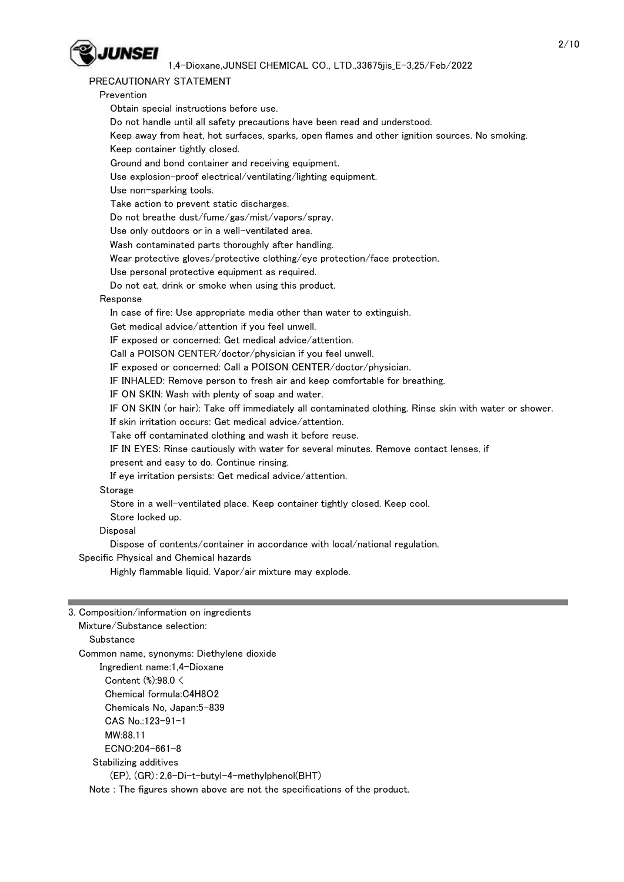

# PRECAUTIONARY STATEMENT

| Prevention                                                                                             |  |
|--------------------------------------------------------------------------------------------------------|--|
| Obtain special instructions before use.                                                                |  |
| Do not handle until all safety precautions have been read and understood.                              |  |
| Keep away from heat, hot surfaces, sparks, open flames and other ignition sources. No smoking.         |  |
| Keep container tightly closed.                                                                         |  |
| Ground and bond container and receiving equipment.                                                     |  |
| Use explosion-proof electrical/ventilating/lighting equipment.                                         |  |
| Use non-sparking tools.                                                                                |  |
| Take action to prevent static discharges.                                                              |  |
| Do not breathe dust/fume/gas/mist/vapors/spray.                                                        |  |
| Use only outdoors or in a well-ventilated area.                                                        |  |
| Wash contaminated parts thoroughly after handling.                                                     |  |
| Wear protective gloves/protective clothing/eye protection/face protection.                             |  |
| Use personal protective equipment as required.                                                         |  |
| Do not eat, drink or smoke when using this product.                                                    |  |
| Response                                                                                               |  |
| In case of fire: Use appropriate media other than water to extinguish.                                 |  |
| Get medical advice/attention if you feel unwell.                                                       |  |
| IF exposed or concerned: Get medical advice/attention.                                                 |  |
| Call a POISON CENTER/doctor/physician if you feel unwell.                                              |  |
| IF exposed or concerned: Call a POISON CENTER/doctor/physician.                                        |  |
| IF INHALED: Remove person to fresh air and keep comfortable for breathing.                             |  |
| IF ON SKIN: Wash with plenty of soap and water.                                                        |  |
| IF ON SKIN (or hair): Take off immediately all contaminated clothing. Rinse skin with water or shower. |  |
| If skin irritation occurs: Get medical advice/attention.                                               |  |
| Take off contaminated clothing and wash it before reuse.                                               |  |
| IF IN EYES: Rinse cautiously with water for several minutes. Remove contact lenses, if                 |  |
| present and easy to do. Continue rinsing.                                                              |  |
| If eye irritation persists: Get medical advice/attention.                                              |  |
| Storage                                                                                                |  |
| Store in a well-ventilated place. Keep container tightly closed. Keep cool.                            |  |
| Store locked up.                                                                                       |  |
| Disposal                                                                                               |  |
| Dispose of contents/container in accordance with local/national regulation.                            |  |
| Specific Physical and Chemical hazards                                                                 |  |
| Highly flammable liquid. Vapor/air mixture may explode.                                                |  |
|                                                                                                        |  |
|                                                                                                        |  |

# 3. Composition/information on ingredients

 Mixture/Substance selection: **Substance**  Common name, synonyms: Diethylene dioxide Ingredient name:1,4-Dioxane Content (%):98.0 < Chemical formula:C4H8O2 Chemicals No, Japan:5-839 CAS No.:123-91-1 MW:88.11 ECNO:204-661-8 Stabilizing additives (EP), (GR):2,6-Di-t-butyl-4-methylphenol(BHT) Note : The figures shown above are not the specifications of the product.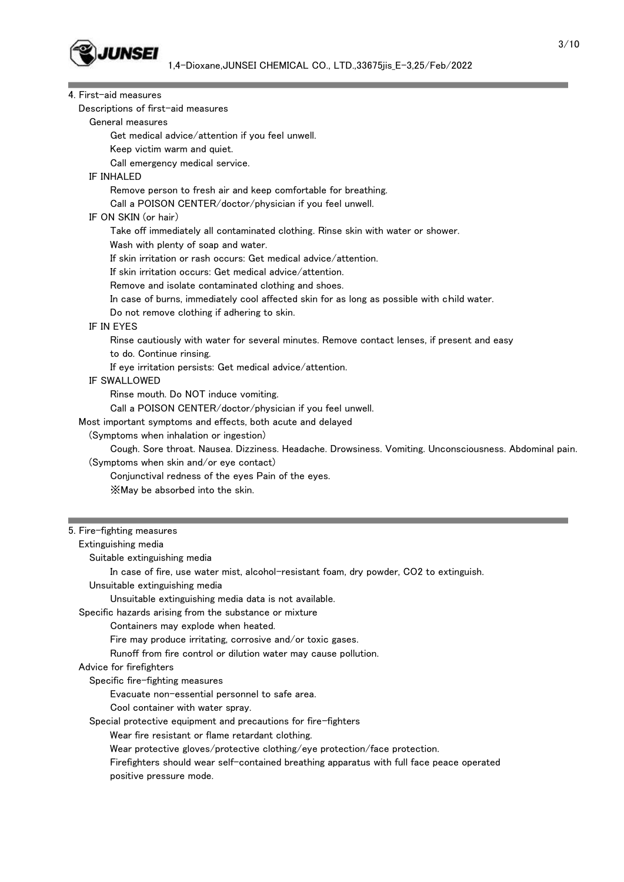

| 4. First-aid measures                                                                                  |
|--------------------------------------------------------------------------------------------------------|
| Descriptions of first-aid measures                                                                     |
| General measures                                                                                       |
| Get medical advice/attention if you feel unwell.                                                       |
| Keep victim warm and quiet.                                                                            |
| Call emergency medical service.                                                                        |
| <b>IF INHALED</b>                                                                                      |
| Remove person to fresh air and keep comfortable for breathing.                                         |
| Call a POISON CENTER/doctor/physician if you feel unwell.                                              |
| IF ON SKIN (or hair)                                                                                   |
| Take off immediately all contaminated clothing. Rinse skin with water or shower.                       |
| Wash with plenty of soap and water.                                                                    |
| If skin irritation or rash occurs: Get medical advice/attention.                                       |
| If skin irritation occurs: Get medical advice/attention.                                               |
| Remove and isolate contaminated clothing and shoes.                                                    |
| In case of burns, immediately cool affected skin for as long as possible with child water.             |
| Do not remove clothing if adhering to skin.                                                            |
| IF IN EYES                                                                                             |
| Rinse cautiously with water for several minutes. Remove contact lenses, if present and easy            |
| to do. Continue rinsing.                                                                               |
| If eye irritation persists: Get medical advice/attention.                                              |
| <b>IF SWALLOWED</b>                                                                                    |
| Rinse mouth. Do NOT induce vomiting.                                                                   |
| Call a POISON CENTER/doctor/physician if you feel unwell.                                              |
| Most important symptoms and effects, both acute and delayed                                            |
| (Symptoms when inhalation or ingestion)                                                                |
| Cough. Sore throat. Nausea. Dizziness. Headache. Drowsiness. Vomiting. Unconsciousness. Abdominal pain |
| (Symptoms when skin and/or eye contact)                                                                |
| Conjunctival redness of the eyes Pain of the eyes.                                                     |
| XMay be absorbed into the skin.                                                                        |
|                                                                                                        |
| 5. Fire-fighting measures                                                                              |
| Extinguishing media                                                                                    |
| Suitable extinguishing media                                                                           |
| In case of fire, use water mist, alcohol-resistant foam, dry powder, CO2 to extinguish.                |
| Unsuitable extinguishing media                                                                         |
| Unsuitable extinguishing media data is not available.                                                  |
|                                                                                                        |

Specific hazards arising from the substance or mixture

Containers may explode when heated.

Fire may produce irritating, corrosive and/or toxic gases.

Runoff from fire control or dilution water may cause pollution.

# Advice for firefighters

Specific fire-fighting measures

Evacuate non-essential personnel to safe area.

Cool container with water spray.

Special protective equipment and precautions for fire-fighters

Wear fire resistant or flame retardant clothing.

Wear protective gloves/protective clothing/eye protection/face protection.

 Firefighters should wear self-contained breathing apparatus with full face peace operated positive pressure mode.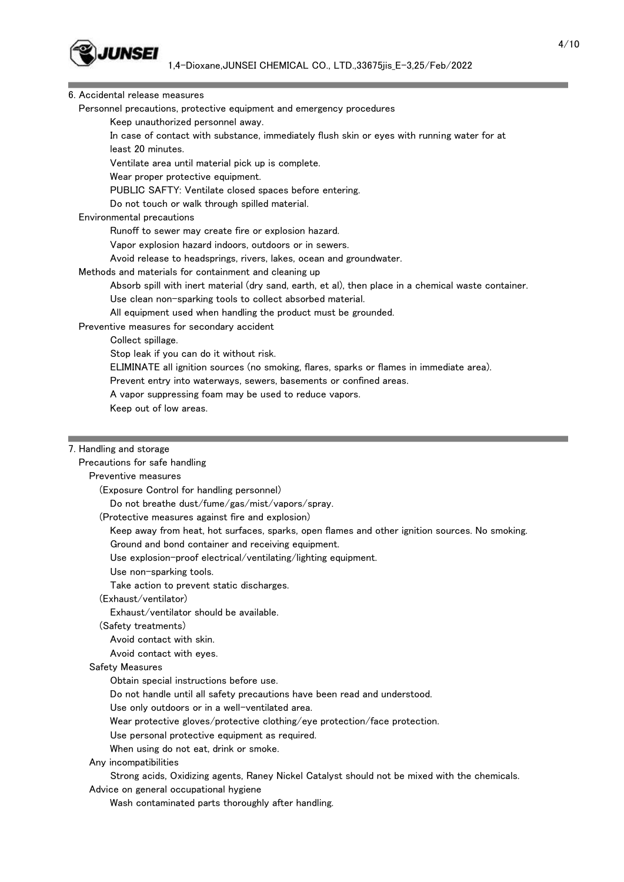

### 6. Accidental release measures

Personnel precautions, protective equipment and emergency procedures

Keep unauthorized personnel away.

 In case of contact with substance, immediately flush skin or eyes with running water for at least 20 minutes.

Ventilate area until material pick up is complete.

Wear proper protective equipment.

PUBLIC SAFTY: Ventilate closed spaces before entering.

Do not touch or walk through spilled material.

### Environmental precautions

Runoff to sewer may create fire or explosion hazard.

Vapor explosion hazard indoors, outdoors or in sewers.

Avoid release to headsprings, rivers, lakes, ocean and groundwater.

### Methods and materials for containment and cleaning up

Absorb spill with inert material (dry sand, earth, et al), then place in a chemical waste container.

Use clean non-sparking tools to collect absorbed material.

All equipment used when handling the product must be grounded.

### Preventive measures for secondary accident

Collect spillage.

Stop leak if you can do it without risk.

ELIMINATE all ignition sources (no smoking, flares, sparks or flames in immediate area).

Prevent entry into waterways, sewers, basements or confined areas.

A vapor suppressing foam may be used to reduce vapors.

Keep out of low areas.

### 7. Handling and storage

## Precautions for safe handling

## Preventive measures

(Exposure Control for handling personnel)

Do not breathe dust/fume/gas/mist/vapors/spray.

(Protective measures against fire and explosion)

Keep away from heat, hot surfaces, sparks, open flames and other ignition sources. No smoking.

Ground and bond container and receiving equipment.

Use explosion-proof electrical/ventilating/lighting equipment.

Use non-sparking tools.

Take action to prevent static discharges.

(Exhaust/ventilator)

Exhaust/ventilator should be available.

(Safety treatments)

Avoid contact with skin.

Avoid contact with eyes.

### Safety Measures

Obtain special instructions before use.

Do not handle until all safety precautions have been read and understood.

Use only outdoors or in a well-ventilated area.

Wear protective gloves/protective clothing/eye protection/face protection.

Use personal protective equipment as required.

When using do not eat, drink or smoke.

# Any incompatibilities

Strong acids, Oxidizing agents, Raney Nickel Catalyst should not be mixed with the chemicals.

Advice on general occupational hygiene

Wash contaminated parts thoroughly after handling.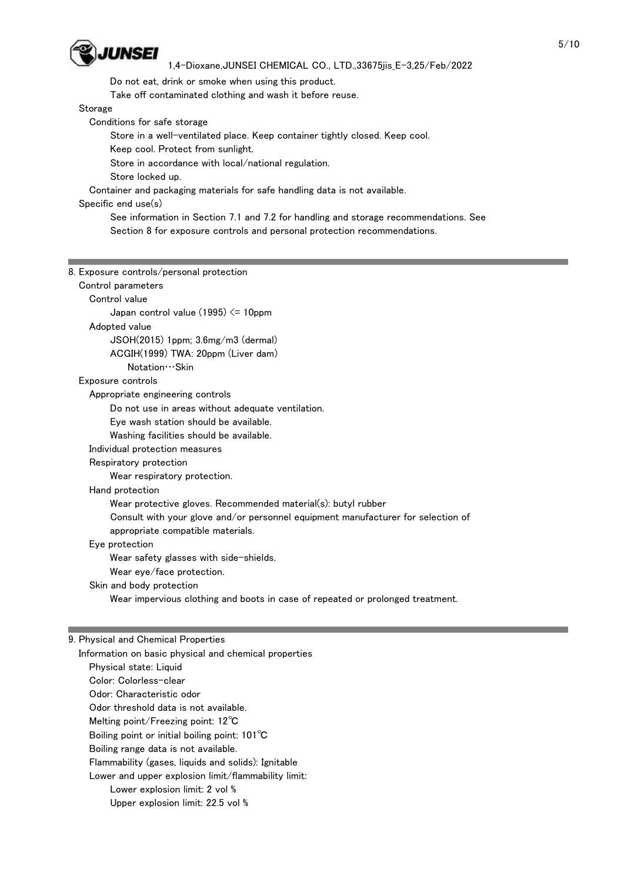

Do not eat, drink or smoke when using this product.

Take off contaminated clothing and wash it before reuse.

Storage

Г

Conditions for safe storage

Store in a well-ventilated place. Keep container tightly closed. Keep cool.

Keep cool. Protect from sunlight.

Store in accordance with local/national regulation.

Store locked up.

Container and packaging materials for safe handling data is not available.

# Specific end use(s)

 See information in Section 7.1 and 7.2 for handling and storage recommendations. See Section 8 for exposure controls and personal protection recommendations.

| 8. Exposure controls/personal protection                                         |
|----------------------------------------------------------------------------------|
| Control parameters                                                               |
| Control value                                                                    |
| Japan control value $(1995) \le 10$ ppm                                          |
| Adopted value                                                                    |
| $JSOH(2015)$ 1ppm; $3.6$ mg/m $3$ (dermal)                                       |
| ACGIH(1999) TWA: 20ppm (Liver dam)                                               |
| Notation · · · Skin                                                              |
| Exposure controls                                                                |
| Appropriate engineering controls                                                 |
| Do not use in areas without adequate ventilation.                                |
| Eye wash station should be available.                                            |
| Washing facilities should be available.                                          |
| Individual protection measures                                                   |
| Respiratory protection                                                           |
| Wear respiratory protection.                                                     |
| Hand protection                                                                  |
| Wear protective gloves. Recommended material(s): butyl rubber                    |
| Consult with your glove and/or personnel equipment manufacturer for selection of |
| appropriate compatible materials.                                                |
| Eye protection                                                                   |
| Wear safety glasses with side-shields.                                           |
| Wear eye/face protection.                                                        |
| Skin and body protection                                                         |
| Wear impervious clothing and boots in case of repeated or prolonged treatment.   |
|                                                                                  |
|                                                                                  |

### 9. Physical and Chemical Properties

 Information on basic physical and chemical properties Physical state: Liquid Color: Colorless-clear Odor: Characteristic odor Odor threshold data is not available. Melting point/Freezing point: 12℃ Boiling point or initial boiling point: 101℃ Boiling range data is not available. Flammability (gases, liquids and solids): Ignitable Lower and upper explosion limit/flammability limit: Lower explosion limit: 2 vol % Upper explosion limit: 22.5 vol %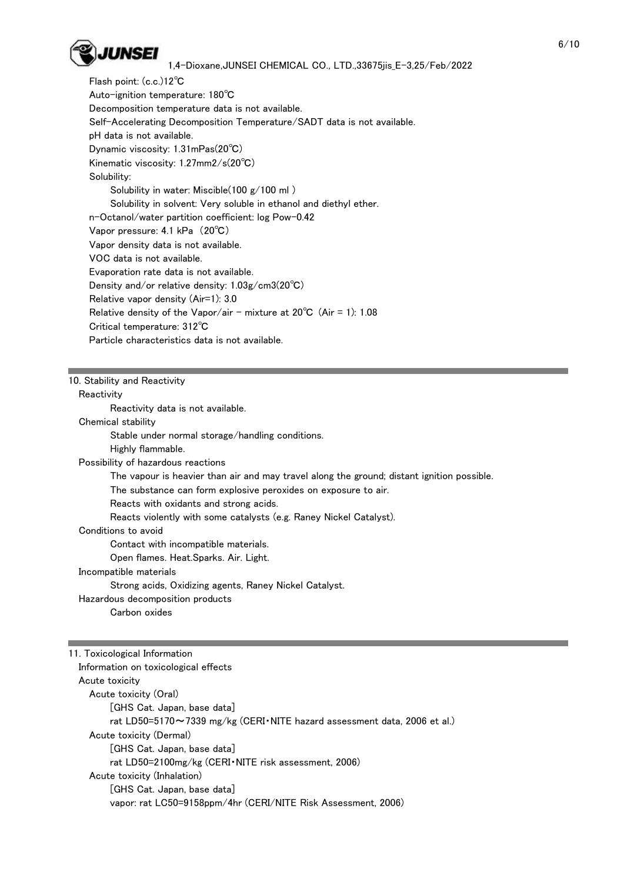

 Flash point: (c.c.)12℃ Auto-ignition temperature: 180℃ Decomposition temperature data is not available. Self-Accelerating Decomposition Temperature/SADT data is not available. pH data is not available. Dynamic viscosity: 1.31mPas(20℃) Kinematic viscosity: 1.27mm2/s(20℃) Solubility: Solubility in water: Miscible(100 g/100 ml ) Solubility in solvent: Very soluble in ethanol and diethyl ether. n-Octanol/water partition coefficient: log Pow-0.42 Vapor pressure: 4.1 kPa (20℃) Vapor density data is not available. VOC data is not available. Evaporation rate data is not available. Density and/or relative density: 1.03g/cm3(20℃) Relative vapor density (Air=1): 3.0 Relative density of the Vapor/air - mixture at  $20^{\circ}$ C (Air = 1): 1.08 Critical temperature: 312℃ Particle characteristics data is not available.

### 10. Stability and Reactivity

### **Reactivity**

Reactivity data is not available.

#### Chemical stability

Stable under normal storage/handling conditions.

Highly flammable.

### Possibility of hazardous reactions

The vapour is heavier than air and may travel along the ground; distant ignition possible.

The substance can form explosive peroxides on exposure to air.

Reacts with oxidants and strong acids.

Reacts violently with some catalysts (e.g. Raney Nickel Catalyst).

Conditions to avoid

Contact with incompatible materials.

Open flames. Heat.Sparks. Air. Light.

Incompatible materials

Strong acids, Oxidizing agents, Raney Nickel Catalyst.

Hazardous decomposition products

Carbon oxides

11. Toxicological Information Information on toxicological effects Acute toxicity Acute toxicity (Oral) [GHS Cat. Japan, base data] rat LD50=5170~7339 mg/kg (CERI・NITE hazard assessment data, 2006 et al.) Acute toxicity (Dermal) [GHS Cat. Japan, base data] rat LD50=2100mg/kg (CERI・NITE risk assessment, 2006) Acute toxicity (Inhalation) [GHS Cat. Japan, base data] vapor: rat LC50=9158ppm/4hr (CERI/NITE Risk Assessment, 2006)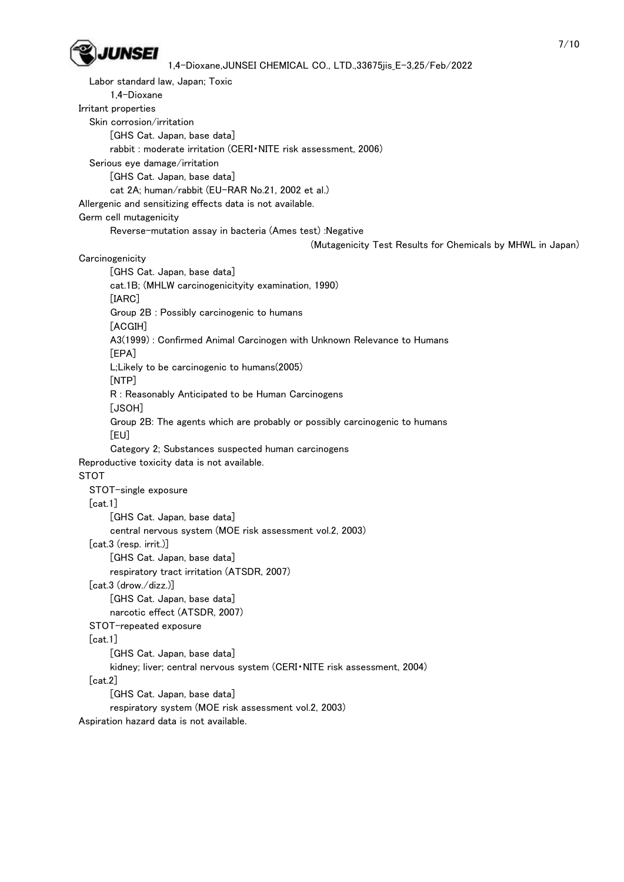

 Labor standard law, Japan; Toxic 1,4-Dioxane Irritant properties Skin corrosion/irritation [GHS Cat. Japan, base data] rabbit : moderate irritation (CERI・NITE risk assessment, 2006) Serious eye damage/irritation [GHS Cat. Japan, base data] cat 2A; human/rabbit (EU-RAR No.21, 2002 et al.) Allergenic and sensitizing effects data is not available. Germ cell mutagenicity Reverse-mutation assay in bacteria (Ames test) :Negative (Mutagenicity Test Results for Chemicals by MHWL in Japan) **Carcinogenicity**  [GHS Cat. Japan, base data] cat.1B; (MHLW carcinogenicityity examination, 1990) [IARC] Group 2B : Possibly carcinogenic to humans [ACGIH] A3(1999) : Confirmed Animal Carcinogen with Unknown Relevance to Humans [EPA] L;Likely to be carcinogenic to humans(2005) [NTP] R : Reasonably Anticipated to be Human Carcinogens [JSOH] Group 2B: The agents which are probably or possibly carcinogenic to humans [EU] Category 2; Substances suspected human carcinogens Reproductive toxicity data is not available. STOT STOT-single exposure [cat.1] [GHS Cat. Japan, base data] central nervous system (MOE risk assessment vol.2, 2003) [cat.3 (resp. irrit.)] [GHS Cat. Japan, base data] respiratory tract irritation (ATSDR, 2007) [cat.3 (drow./dizz.)] [GHS Cat. Japan, base data] narcotic effect (ATSDR, 2007) STOT-repeated exposure  $[cat.1]$  [GHS Cat. Japan, base data] kidney; liver; central nervous system (CERI・NITE risk assessment, 2004) [cat.2] [GHS Cat. Japan, base data] respiratory system (MOE risk assessment vol.2, 2003)

Aspiration hazard data is not available.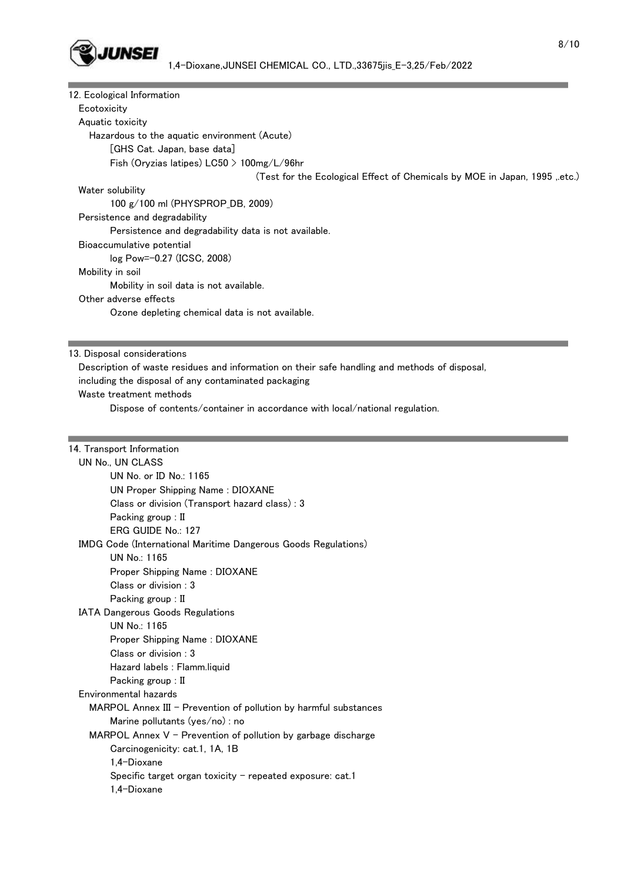

| 12. Ecological Information  |                                                                                               |
|-----------------------------|-----------------------------------------------------------------------------------------------|
| Ecotoxicity                 |                                                                                               |
| Aquatic toxicity            |                                                                                               |
|                             | Hazardous to the aquatic environment (Acute)                                                  |
|                             | [GHS Cat. Japan, base data]                                                                   |
|                             | Fish (Oryzias latipes) $L C50 > 100$ mg/ $L/96$ hr                                            |
|                             | (Test for the Ecological Effect of Chemicals by MOE in Japan, 1995, etc.)                     |
| Water solubility            |                                                                                               |
|                             | 100 g/100 ml (PHYSPROP_DB, 2009)                                                              |
|                             | Persistence and degradability                                                                 |
|                             | Persistence and degradability data is not available.                                          |
|                             | Bioaccumulative potential                                                                     |
|                             | log Pow=-0.27 (ICSC, 2008)                                                                    |
| Mobility in soil            |                                                                                               |
|                             | Mobility in soil data is not available.                                                       |
| Other adverse effects       |                                                                                               |
|                             | Ozone depleting chemical data is not available.                                               |
|                             |                                                                                               |
| 13. Disposal considerations |                                                                                               |
|                             | Description of waste residues and information on their safe handling and methods of disposal, |
|                             | including the disposal of any contaminated packaging                                          |
|                             | Waste treatment methods                                                                       |
|                             | Dispose of contents/container in accordance with local/national regulation.                   |
|                             |                                                                                               |
|                             |                                                                                               |
| 14. Transport Information   |                                                                                               |
| UN No., UN CLASS            |                                                                                               |
|                             | UN No. or ID No.: 1165                                                                        |
|                             | UN Proper Shipping Name: DIOXANE                                                              |
|                             | Class or division (Transport hazard class): 3                                                 |
|                             | Packing group : II                                                                            |
|                             | ERG GUIDE No.: 127                                                                            |
|                             | IMDG Code (International Maritime Dangerous Goods Regulations)                                |
|                             | UN No.: 1165                                                                                  |
|                             | Proper Shipping Name: DIOXANE                                                                 |
|                             | Class or division : 3                                                                         |
|                             | Packing group : II                                                                            |
|                             | IATA Dangerous Goods Regulations                                                              |
|                             | UN No.: 1165                                                                                  |
|                             | Proper Shipping Name: DIOXANE                                                                 |
|                             | Class or division : 3                                                                         |
|                             | Hazard labels : Flamm.liquid                                                                  |
|                             | Packing group : II                                                                            |
| Environmental hazards       |                                                                                               |
|                             | MARPOL Annex III - Prevention of pollution by harmful substances                              |
|                             | Marine pollutants (yes/no) : no                                                               |
|                             | MARPOL Annex $V$ – Prevention of pollution by garbage discharge                               |
|                             | Carcinogenicity: cat.1, 1A, 1B                                                                |
|                             | 1,4-Dioxane                                                                                   |
|                             | Specific target organ toxicity - repeated exposure: cat.1                                     |
|                             | 1,4-Dioxane                                                                                   |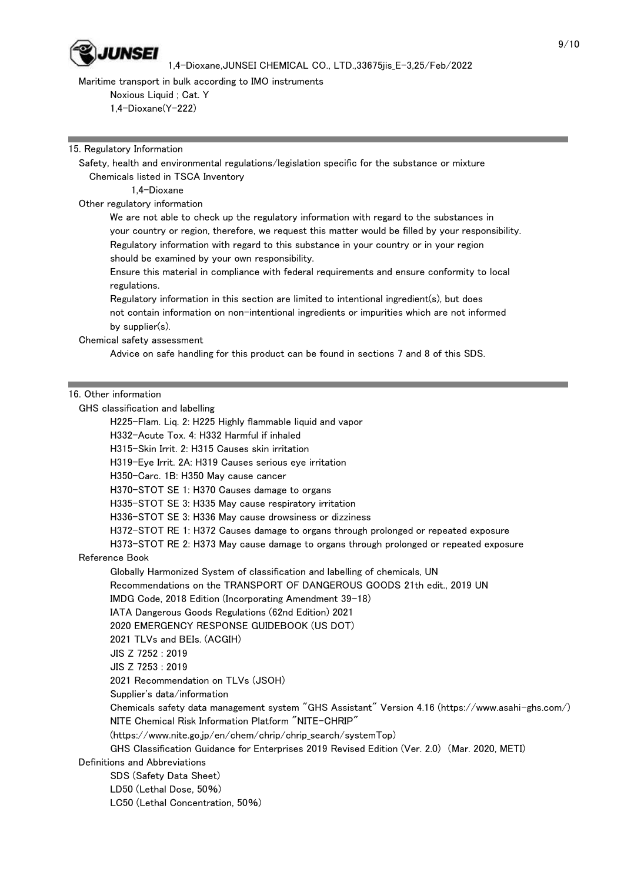

Maritime transport in bulk according to IMO instruments

 Noxious Liquid ; Cat. Y 1,4-Dioxane(Y-222)

15. Regulatory Information

 Safety, health and environmental regulations/legislation specific for the substance or mixture Chemicals listed in TSCA Inventory

1,4-Dioxane

Other regulatory information

 We are not able to check up the regulatory information with regard to the substances in your country or region, therefore, we request this matter would be filled by your responsibility. Regulatory information with regard to this substance in your country or in your region should be examined by your own responsibility.

 Ensure this material in compliance with federal requirements and ensure conformity to local regulations.

 Regulatory information in this section are limited to intentional ingredient(s), but does not contain information on non-intentional ingredients or impurities which are not informed by supplier(s).

Chemical safety assessment

Advice on safe handling for this product can be found in sections 7 and 8 of this SDS.

## 16. Other information

GHS classification and labelling

H225-Flam. Liq. 2: H225 Highly flammable liquid and vapor

H332-Acute Tox. 4: H332 Harmful if inhaled

H315-Skin Irrit. 2: H315 Causes skin irritation

H319-Eye Irrit. 2A: H319 Causes serious eye irritation

H350-Carc. 1B: H350 May cause cancer

H370-STOT SE 1: H370 Causes damage to organs

H335-STOT SE 3: H335 May cause respiratory irritation

H336-STOT SE 3: H336 May cause drowsiness or dizziness

H372-STOT RE 1: H372 Causes damage to organs through prolonged or repeated exposure

H373-STOT RE 2: H373 May cause damage to organs through prolonged or repeated exposure

Reference Book

Globally Harmonized System of classification and labelling of chemicals, UN

Recommendations on the TRANSPORT OF DANGEROUS GOODS 21th edit., 2019 UN

IMDG Code, 2018 Edition (Incorporating Amendment 39-18)

IATA Dangerous Goods Regulations (62nd Edition) 2021

2020 EMERGENCY RESPONSE GUIDEBOOK (US DOT)

2021 TLVs and BEIs. (ACGIH)

JIS Z 7252 : 2019

JIS Z 7253 : 2019

2021 Recommendation on TLVs (JSOH)

Supplier's data/information

 Chemicals safety data management system "GHS Assistant" Version 4.16 (https://www.asahi-ghs.com/) NITE Chemical Risk Information Platform "NITE-CHRIP"

(https://www.nite.go.jp/en/chem/chrip/chrip\_search/systemTop)

GHS Classification Guidance for Enterprises 2019 Revised Edition (Ver. 2.0) (Mar. 2020, METI)

Definitions and Abbreviations

SDS (Safety Data Sheet)

LD50 (Lethal Dose, 50%)

LC50 (Lethal Concentration, 50%)